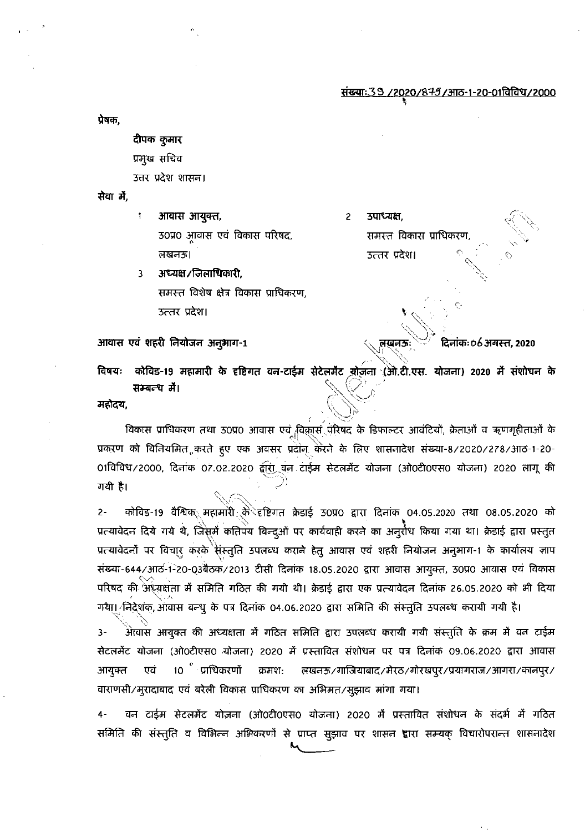<u>संख्याः 39 /2020/879/आठ-1-20-01विविध/2000</u>

प्रेषक.

दीपक कुमार प्रमुख सचिव उत्तर प्रदेश शासन।

सेवा में.

आवास आयुक्त,  $\pmb{\mathfrak{f}}$ 30प्र0 आवास एवं विकास परिषद, तखनङ।

अध्यक्ष / जिलाधिकारी, 3 समस्त विशेष क्षेत्र विकास प्राधिकरण, उत्तर प्रदेश।

आवास एवं शहरी नियोजन अनुभाग-1

उपाध्यक्ष.  $\overline{2}$ समस्त विकास प्राधिकरण उत्तर प्रदेश।

तखनऊ

दिनांकः ०८ अगस्त, २०२०

विषयः कोविड-19 महामारी के दृष्टिगत वन-टाईम सेटेलमेंट योजना (ओ.टी.एस. योजना) 2020 में संशोधन के सम्बन्ध में।

महोदय,

विकास प्राधिकरण तथा उ0प्र0 आवास एवं विकास पेरेषद के डिफाल्टर आवंटियों, क्रेताओं व ऋणगृहीताओं के प्रकरण को विनियमित करते हुए एक अवसर प्रदोन केरने के लिए शासनादेश संख्या-8/2020/278/आठ-1-20-01विविध/2000, दिनांक 07.02.2020 द्वारा वन टाईम सेटलमेंट योजना (ओ0टी0एस0 योजना) 2020 लागू की गयी है।

 $2 -$ कोविड-19 वैश्विक<sub>े</sub> महामारी केे<sup>े</sup>दृष्टिगत क्रेडाई उ0प्र0 द्वारा दिनांक 04.05.2020 तथा 08.05.2020 को प्रत्यावेदन दिये गये थे, जिसमें कतिपय बिन्दुओं पर कार्यवाही करने का अनुरोध किया गया था। क्रेडाई द्वारा प्रस्तुत प्रत्यावेदनों पर विचार करके संस्तुति उपलब्ध कराने हेतु आवास एवं शहरी नियोजन अनुभाग-1 के कार्यालय जाप संख्या-644/आठ-1-20-03बैठक/2013 टीसी दिनांक 18.05.2020 द्वारा आवास आयुक्त, 30प्र0 आवास एवं विकास परिषद की अध्यक्षता में समिति गठित की गयी थी। क्रेडाई द्वारा एक प्रत्यावेदन दिनांक 26.05.2020 को भी दिया गये। निर्देशक, आवास बन्धु के पत्र दिनांक 04.06.2020 द्वारा समिति की संस्तुति उपलब्ध करायी गयी है।

अैावास आयुक्त की अध्यक्षता में गठित समिति द्वारा उपलब्ध करायी गयी संस्तुति के क्रम में वन टाईम  $3 -$ सेटलमेंट योजना (ओ0टीएस0 योजना) 2020 में प्रस्तावित संशोधन पर पत्र दिनांक 09.06.2020 द्वारा आवास 10 पाधिकरणों आयुक्त एवं क्रमश: लखनऊ/गाजियाबाद/मेरठ/गोरखपूर/प्रयागराज/आगरा/कानपूर/ वाराणसी/मुरादाबाद एवं बरेली विकास प्राधिकरण का अभिमत/सुझाव मांगा गया।

वन टाईम सेटलमेंट योजना (ओ0टी0एस0 योजना) 2020 में प्रस्तावित संशोधन के संदर्भ में गठित  $4-$ समिति की संस्तुति व विभिन्न अभिकरणों से प्राप्त सुझाव पर शासन ह्वारा सम्यक् विचारोपरान्त शासनादेश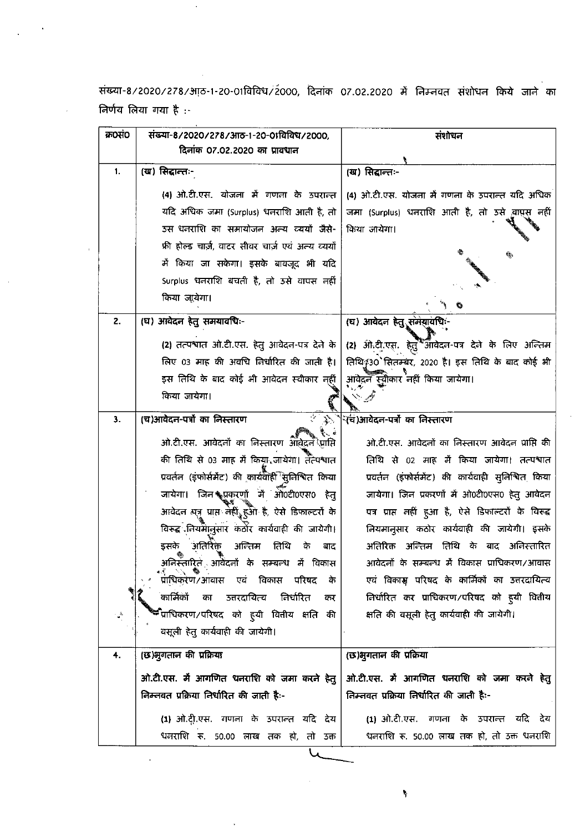संख्या-8/2020/278/आठ-1-20-01विविध/2000, दिनांक 07.02.2020 में निम्नवत संशोधन किये जाने का निर्णय लिया गया है :-

| क्र0सं0            | संख्या-8/2020/278/आठ-1-20-01विविध/2000,                    | संशोधन                                              |
|--------------------|------------------------------------------------------------|-----------------------------------------------------|
|                    | दिनांक 07.02.2020 का प्रावधान                              |                                                     |
| 1.                 | (ख) सिद्धान्तः-                                            | (ख) सिद्धान्तः-                                     |
|                    |                                                            |                                                     |
|                    | (4) ओ.टी.एस. योजना में गणना के उपरान्त                     | (4) ओ.टी.एस. योजना में गणना के उपरान्त यदि अधिक     |
|                    | यदि अधिक जमा (Surplus) धनराशि आती है, तो                   | जमा (Surplus) धनराशि आती है, तो उसे वाधुस नहीं      |
|                    | उस धनराशि का समायोजन अन्य व्ययों जैसे-                     | किया जायेगा।                                        |
|                    | फ्री होल्ड चार्ज़, वाटर सीवर चार्ज़ एवं अन्य व्ययों        |                                                     |
|                    | में किया जा सकेगा। इसके बावजूद भी यदि                      |                                                     |
|                    | Surplus धनराशि बचती है, तो उसे वापस नहीं                   |                                                     |
|                    | किया जाूयेगा।                                              |                                                     |
| 2.                 | (घ) आयेदन हेतु समयावधिः-                                   | (घ) आवेदन हेतु समयाुवधिः-                           |
|                    |                                                            |                                                     |
|                    | (2) तत्पश्वात ओ.टी.एस. हेतु आवेदन-पत्र देने के             | (2) ओ.टी.एस. हेर्तु ऑमेवेदन-पत्र देने के लिए अन्तिम |
|                    | लिए 03 माह की अवधि निर्धारित की जाती है।                   | तिथि\$30 सितम्बर, 2020 है। इस तिथि के बाद कोई भी    |
|                    | इस तिथि के बाद कोई भी आवेदन स्वीकार न्हीं                  | आवेदने स्वीकार नहीं किया जायेगा।                    |
|                    | किया जायेगा।                                               |                                                     |
| З.                 | (च)आवेदन-पत्रों का निस्तारण<br>$\mathcal{L}$               | <sup>्</sup> चि)आवेदन-पत्रौँ का निस्तारण            |
|                    | ओ.टी.एस. आवेदनों का निस्तारण आवेदने प्राप्ति               | ओ.टी.एस. आवेदनों का निस्तारण आवेदन प्राप्ति की      |
|                    | की तिथि से 03 माह में किया जायेगा। तेत्पश्वात              | तिथि से 02 माह में किया जायेगा। तत्पश्वात           |
|                    |                                                            |                                                     |
|                    | प्रवर्तन (इफोर्समेंट) की कार्यवाही सुनिश्वित किया          | प्रवर्तन (इंफोर्समेंट) की कार्यवाही सुनिश्चित किया  |
|                    | जायेगा। जिन समयुकरणों में ओ0टी0एस0 हेत्                    | जायेगा। जिन प्रकरणों में ओ0टी0एस0 हेतु आवेदन        |
|                    | आवेदन सन्नु प्राप्त नहीं हुआ है, ऐसे डिफाल्टरों के         | पत्र प्राप्त नहीं हुआ है, ऐसे डिफाल्टरों के विरूद्ध |
|                    | विरूद्ध <sup>्</sup> नियमालुसार केठोर कार्यवाही की जायेगी। | लियमानुसार कठोर कार्यवाही की जायेगी। इसके           |
|                    | अतिरिक्त<br>अन्तिम<br>तिथि<br>इसके<br>के<br>बाद            | अतिरिक्त अन्तिम तिथि के बाद अनिस्तारित              |
|                    | अनिरूतारित आवेदनों के सम्बन्ध में विकास                    | आवेदनों के सम्बन्ध में विकास प्राधिकरण/आवास         |
|                    | प्राधिकरण/आवास एवं विकास परिषद<br>ं के                     | एवं विकास परिषद के कार्मिकों का उत्तरदायित्य        |
|                    | कार्मिको<br>निर्धारित<br>उत्तरदायित्व<br>का<br>कर          | निर्धारित कर प्राधिकरण/परिषद को हूयी वितीय          |
| $\frac{\Delta}{2}$ | <sup>श्क्ष्</sup> प्राधिकरण ⁄ परिषद को हुयी वितीय क्षति की | क्षति की वसूली हेतु कार्यवाही की जायेगी।            |
|                    | वसूली हेतु कार्यवाही की जायेगी।                            |                                                     |
| 4.                 | (छ)भुगतान की प्रक्रिया                                     | (छ)भुगतान की प्रक्रिया                              |
|                    | ओ.टी.एस. मैं आगणित धनराशि को जमा करने हेतु                 | ओ.टी.एस. में आगणित धनराशि को जमा करने हेतु          |
|                    | निम्नवत प्रक्रिया निर्धारित की जाती है:-                   | निम्नवत प्रक्रिया निर्धारित की जाती है:-            |
|                    | (1) ओ.टीू.एस. गणना के उपरान्त यदि देय                      | (1) ओ.टी.एस. गणना के उपरान्त यदि देय                |
|                    | धनराशि रू. 50.00 लाख तक हो, तो उक्त                        | धनराशि रू. 50.00 लाख तक हो, तो उक्त धनराशि          |
|                    |                                                            |                                                     |

 $\sim$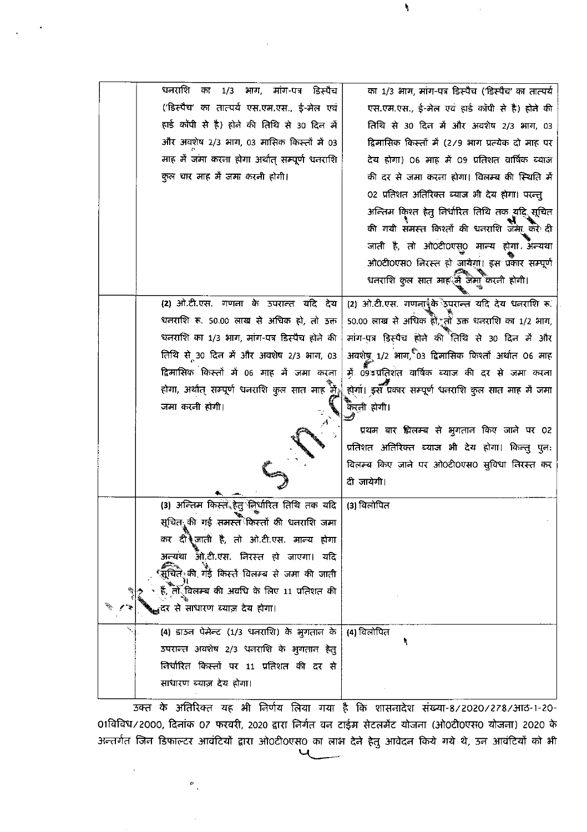| धनराशि<br>भाग, मांग-पत्र डिस्पैच<br>1/3<br>का                       | का 1/3 भाग, मांग-पत्र डिस्पैच ('डिस्पैच' का तात्पर्य                                                       |
|---------------------------------------------------------------------|------------------------------------------------------------------------------------------------------------|
| ('डिस्पैच' का तात्पर्य एस.एम.एस., ई-मेल एवं                         | एस.एम.एस., ई-मेल एवं हार्ड कॉपी से है) होने की                                                             |
| हाई कॉपी से है) होने की तिथि से 30 दिन में                          | तिथि से 30 दिन में और अवशेष 2/3 भाग, 03                                                                    |
| और अवशेष 2/3 भाग, 03 मासिक किस्तों में 03                           | द्विमासिक किस्तों में (2/9 भाग प्रत्येक दो माह पर                                                          |
| माह में जमा करना होगा अर्थात् सम्पूर्ण धनराशि                       | देय होगा) 06 माह में 09 प्रतिशत वार्षिक ब्याज                                                              |
| कुल चार माह मैं जमा करनी होगी।                                      | की दर से जमा करना होगा। विलम्ब की स्थिति में                                                               |
|                                                                     | 02 प्रतिशत अतिरिक्त ब्याज भी देय होगा। परन्तु                                                              |
|                                                                     | अन्तिम किश्त हेतु निर्धारित तिथि तक यदि सूचित                                                              |
|                                                                     | की गयी संमस्त किश्तों की धनराशि जेमें! करें दी                                                             |
|                                                                     | जाती है, तो ओ0टी0एस्0 मान्य होगां अन्यथा                                                                   |
|                                                                     | ओ0टी0एस0 निरस्त हो जायेगा। इस प्रकार सम्पूर्ण                                                              |
|                                                                     | धनराशि कुल सात माह में जेमाँ करनी होगी।                                                                    |
| (2) ओ.टी.एस. गणना के उपरान्त यदि देय                                | (2) ओ.टी.एस. गणनार्पीके उपरान्त यदि देय धनराशि रू.                                                         |
| धनराशि रू. 50.00 लाख से अधिक हो, तो उक्त                            | 50.00 लाख से अधिक हों, तो उक्त धनराशि का 1/2 भाग,                                                          |
| धनराशि का 1/3 भाग, मांग-पत्र डिस्पैच होने की                        | मांग-पत्र डिस्पैच होने की तिथि से 30 दिन में और                                                            |
| तिथि से 30 दिन में और अवशेष 2/3 भाग, 03                             | अवशेष्र 1/2 भाग, 03 द्विमासिक किश्तों अर्थात 06 माह                                                        |
| द्विमासिक किस्तों में 06 माह में जमा करना                           | में 09ँडप्रतिशंत वार्षिक ब्याज की दर से जमा करना                                                           |
| होगा, अर्थात् सम्पूर्ण धनराशि कुल सात माह मुँ                       | होगा। इस प्रकार सम्पूर्ण धनराशि कुल सात माह में जमा                                                        |
| जमा करनी होगी।                                                      | क्रिनी होगी।                                                                                               |
|                                                                     | प्रथम बार झिलम्ब से भुगतान किए जाने पर 02                                                                  |
|                                                                     | प्रतिशत अतिरिक्त ब्याज भी देय होगा। किन्तु पुनः                                                            |
|                                                                     | विलम्ब किए जाने पर ओ0टी0एस0 सुविधा निरस्त कर                                                               |
|                                                                     | दी जायेगी।                                                                                                 |
| (3) अन्तिम किस्ते हेतु लिर्धारित तिथि तक यदि                        | (3) विलोपित                                                                                                |
| सूचित <sub>्रा</sub> की गई समस्त <sup>ै</sup> किस्तों की धनराशि जमा |                                                                                                            |
| कर दीं जाती है, तो ओ.टी.एस. मान्य होगा                              |                                                                                                            |
| अन्यथा आँ.टी.एस. निरस्त हो जाएगा। यदि                               |                                                                                                            |
|                                                                     |                                                                                                            |
|                                                                     |                                                                                                            |
| <sub>स्त्र</sub> दर से साधारण ब्याज़ देय होगा।                      |                                                                                                            |
| (4) डाउन पेमेन्ट (1/3 धनराशि) के भुगतान के                          | (4) विलोपित                                                                                                |
| उपरान्त अवशेष 2/3 धनराशि के भुगतान हेतु                             |                                                                                                            |
| निर्धारित किस्तों पर 11 प्रतिशत की दर से                            |                                                                                                            |
| साधारण ब्याज़ देय होगा।                                             |                                                                                                            |
|                                                                     | ्<br>सूचित <sub>े</sub> की गई किस्तें विलम्ब से जमा की जाती<br>हैं, तो विलम्ब की अवधि के लिए 11 प्रतिशत की |

١

.<br>उक्त के अतिरिक्त यह भी निर्णय लिया गया है कि शासनादेश संख्या-8/2020/278/आठ-1-20-01विविध/2000, दिनांक 07 फरवरी, 2020 द्वारा निर्गत वन टाईम सेटलमेंट योजना (ओ0टी0एस0 योजना) 2020 के अन्तर्गत जिन डिफाल्टर आवंटियों द्वारा ओ०टी०एस० का लाभ देने हेतु आवेदन किये गये थे, उन आवंटियों को भी

 $\phi_{\perp}$